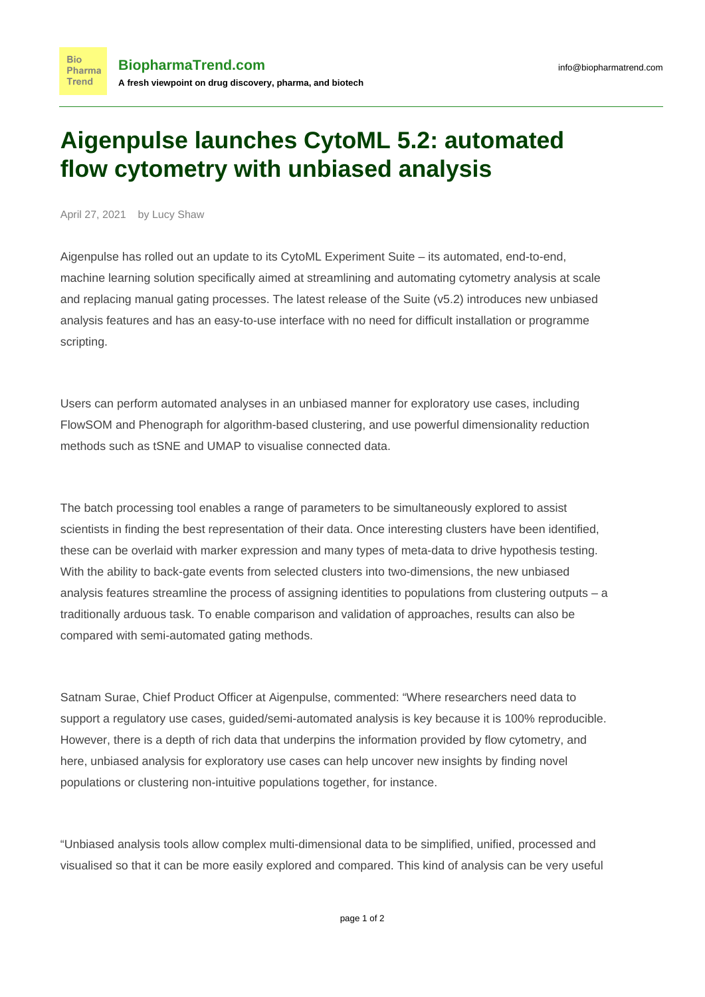## **Aigenpulse launches CytoML 5.2: automated flow cytometry with unbiased analysis**

April 27, 2021 by Lucy Shaw

**Bio** 

**Trend** 

Aigenpulse has rolled out an update to its CytoML Experiment Suite – its automated, end-to-end, machine learning solution specifically aimed at streamlining and automating cytometry analysis at scale and replacing manual gating processes. The latest release of the Suite (v5.2) introduces new unbiased analysis features and has an easy-to-use interface with no need for difficult installation or programme scripting.

Users can perform automated analyses in an unbiased manner for exploratory use cases, including FlowSOM and Phenograph for algorithm-based clustering, and use powerful dimensionality reduction methods such as tSNE and UMAP to visualise connected data.

The batch processing tool enables a range of parameters to be simultaneously explored to assist scientists in finding the best representation of their data. Once interesting clusters have been identified, these can be overlaid with marker expression and many types of meta-data to drive hypothesis testing. With the ability to back-gate events from selected clusters into two-dimensions, the new unbiased analysis features streamline the process of assigning identities to populations from clustering outputs – a traditionally arduous task. To enable comparison and validation of approaches, results can also be compared with semi-automated gating methods.

Satnam Surae, Chief Product Officer at Aigenpulse, commented: "Where researchers need data to support a regulatory use cases, guided/semi-automated analysis is key because it is 100% reproducible. However, there is a depth of rich data that underpins the information provided by flow cytometry, and here, unbiased analysis for exploratory use cases can help uncover new insights by finding novel populations or clustering non-intuitive populations together, for instance.

"Unbiased analysis tools allow complex multi-dimensional data to be simplified, unified, processed and visualised so that it can be more easily explored and compared. This kind of analysis can be very useful